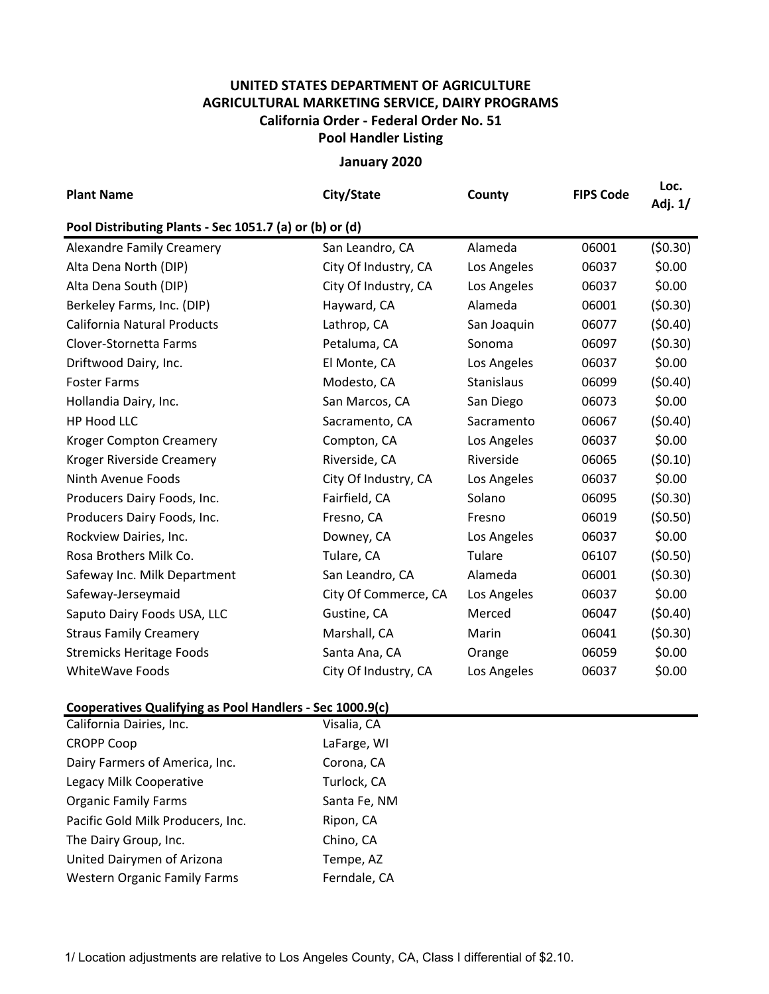## **UNITED STATES DEPARTMENT OF AGRICULTURE AGRICULTURAL MARKETING SERVICE, DAIRY PROGRAMS Pool Handler Listing California Order ‐ Federal Order No. 51**

## **January 2020**

| <b>Plant Name</b>                                       | City/State           | County      | <b>FIPS Code</b> | Loc.<br>Adj. 1/ |  |  |  |  |
|---------------------------------------------------------|----------------------|-------------|------------------|-----------------|--|--|--|--|
| Pool Distributing Plants - Sec 1051.7 (a) or (b) or (d) |                      |             |                  |                 |  |  |  |  |
| <b>Alexandre Family Creamery</b>                        | San Leandro, CA      | Alameda     | 06001            | (50.30)         |  |  |  |  |
| Alta Dena North (DIP)                                   | City Of Industry, CA | Los Angeles | 06037            | \$0.00          |  |  |  |  |
| Alta Dena South (DIP)                                   | City Of Industry, CA | Los Angeles | 06037            | \$0.00          |  |  |  |  |
| Berkeley Farms, Inc. (DIP)                              | Hayward, CA          | Alameda     | 06001            | (50.30)         |  |  |  |  |
| <b>California Natural Products</b>                      | Lathrop, CA          | San Joaquin | 06077            | (50.40)         |  |  |  |  |
| Clover-Stornetta Farms                                  | Petaluma, CA         | Sonoma      | 06097            | (50.30)         |  |  |  |  |
| Driftwood Dairy, Inc.                                   | El Monte, CA         | Los Angeles | 06037            | \$0.00          |  |  |  |  |
| <b>Foster Farms</b>                                     | Modesto, CA          | Stanislaus  | 06099            | (50.40)         |  |  |  |  |
| Hollandia Dairy, Inc.                                   | San Marcos, CA       | San Diego   | 06073            | \$0.00          |  |  |  |  |
| HP Hood LLC                                             | Sacramento, CA       | Sacramento  | 06067            | (50.40)         |  |  |  |  |
| <b>Kroger Compton Creamery</b>                          | Compton, CA          | Los Angeles | 06037            | \$0.00          |  |  |  |  |
| Kroger Riverside Creamery                               | Riverside, CA        | Riverside   | 06065            | (50.10)         |  |  |  |  |
| Ninth Avenue Foods                                      | City Of Industry, CA | Los Angeles | 06037            | \$0.00          |  |  |  |  |
| Producers Dairy Foods, Inc.                             | Fairfield, CA        | Solano      | 06095            | (50.30)         |  |  |  |  |
| Producers Dairy Foods, Inc.                             | Fresno, CA           | Fresno      | 06019            | (50.50)         |  |  |  |  |
| Rockview Dairies, Inc.                                  | Downey, CA           | Los Angeles | 06037            | \$0.00          |  |  |  |  |
| Rosa Brothers Milk Co.                                  | Tulare, CA           | Tulare      | 06107            | (50.50)         |  |  |  |  |
| Safeway Inc. Milk Department                            | San Leandro, CA      | Alameda     | 06001            | (50.30)         |  |  |  |  |
| Safeway-Jerseymaid                                      | City Of Commerce, CA | Los Angeles | 06037            | \$0.00          |  |  |  |  |
| Saputo Dairy Foods USA, LLC                             | Gustine, CA          | Merced      | 06047            | (50.40)         |  |  |  |  |
| <b>Straus Family Creamery</b>                           | Marshall, CA         | Marin       | 06041            | (50.30)         |  |  |  |  |
| <b>Stremicks Heritage Foods</b>                         | Santa Ana, CA        | Orange      | 06059            | \$0.00          |  |  |  |  |
| <b>WhiteWave Foods</b>                                  | City Of Industry, CA | Los Angeles | 06037            | \$0.00          |  |  |  |  |

## **Cooperatives Qualifying as Pool Handlers ‐ Sec 1000.9(c)**

| California Dairies, Inc.            | Visalia, CA  |
|-------------------------------------|--------------|
| <b>CROPP Coop</b>                   | LaFarge, WI  |
| Dairy Farmers of America, Inc.      | Corona, CA   |
| Legacy Milk Cooperative             | Turlock, CA  |
| <b>Organic Family Farms</b>         | Santa Fe, NM |
| Pacific Gold Milk Producers, Inc.   | Ripon, CA    |
| The Dairy Group, Inc.               | Chino, CA    |
| United Dairymen of Arizona          | Tempe, AZ    |
| <b>Western Organic Family Farms</b> | Ferndale, CA |
|                                     |              |